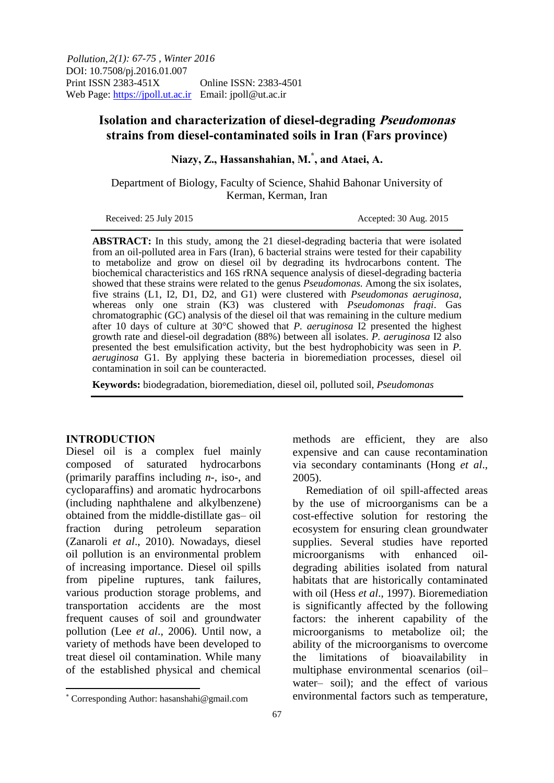*2(1): 67-75 , Winter 2016 Pollution,*  DOI: 10.7508/pj.2016.01.007 Print ISSN 2383-451X Online ISSN: 2383-4501 Web Page: https://jpoll.ut.ac.ir Email: jpoll@ut.ac.ir

# **Isolation and characterization of diesel-degrading Pseudomonas strains from diesel-contaminated soils in Iran (Fars province)**

**Niazy, Z., Hassanshahian, M.\* , and Ataei, A.**

Department of Biology, Faculty of Science, Shahid Bahonar University of Kerman, Kerman, Iran

Received: 25 July 2015 Accepted: 30 Aug. 2015

**ABSTRACT:** In this study, among the 21 diesel-degrading bacteria that were isolated from an oil-polluted area in Fars (Iran), 6 bacterial strains were tested for their capability to metabolize and grow on diesel oil by degrading its hydrocarbons content. The biochemical characteristics and 16S rRNA sequence analysis of diesel-degrading bacteria showed that these strains were related to the genus *Pseudomonas.* Among the six isolates, five strains (L1, I2, D1, D2, and G1) were clustered with *Pseudomonas aeruginosa*, whereas only one strain (K3) was clustered with *Pseudomonas fragi*. Gas chromatographic (GC) analysis of the diesel oil that was remaining in the culture medium after 10 days of culture at 30°C showed that *P. aeruginosa* I2 presented the highest growth rate and diesel-oil degradation (88%) between all isolates. *P. aeruginosa* I2 also presented the best emulsification activity, but the best hydrophobicity was seen in *P. aeruginosa* G1. By applying these bacteria in bioremediation processes, diesel oil contamination in soil can be counteracted.

**Keywords:** biodegradation, bioremediation, diesel oil, polluted soil, *Pseudomonas*

#### **INTRODUCTION**

Diesel oil is a complex fuel mainly composed of saturated hydrocarbons (primarily paraffins including *n*-, iso-, and cycloparaffins) and aromatic hydrocarbons (including naphthalene and alkylbenzene) obtained from the middle-distillate gas– oil fraction during petroleum separation (Zanaroli *et al*., 2010). Nowadays, diesel oil pollution is an environmental problem of increasing importance. Diesel oil spills from pipeline ruptures, tank failures, various production storage problems, and transportation accidents are the most frequent causes of soil and groundwater pollution (Lee *et al*., 2006). Until now, a variety of methods have been developed to treat diesel oil contamination. While many of the established physical and chemical

methods are efficient, they are also

by the use of microorganisms can be a cost-effective solution for restoring the ecosystem for ensuring clean groundwater supplies. Several studies have reported microorganisms with enhanced oildegrading abilities isolated from natural habitats that are historically contaminated with oil (Hess *et al*., 1997). Bioremediation is significantly affected by the following factors: the inherent capability of the microorganisms to metabolize oil; the ability of the microorganisms to overcome the limitations of bioavailability in multiphase environmental scenarios (oil– water– soil); and the effect of various environmental factors such as temperature,

 $\overline{\phantom{a}}$ 

expensive and can cause recontamination via secondary contaminants (Hong *et al*., 2005). Remediation of oil spill-affected areas

Corresponding Author: hasanshahi@gmail.com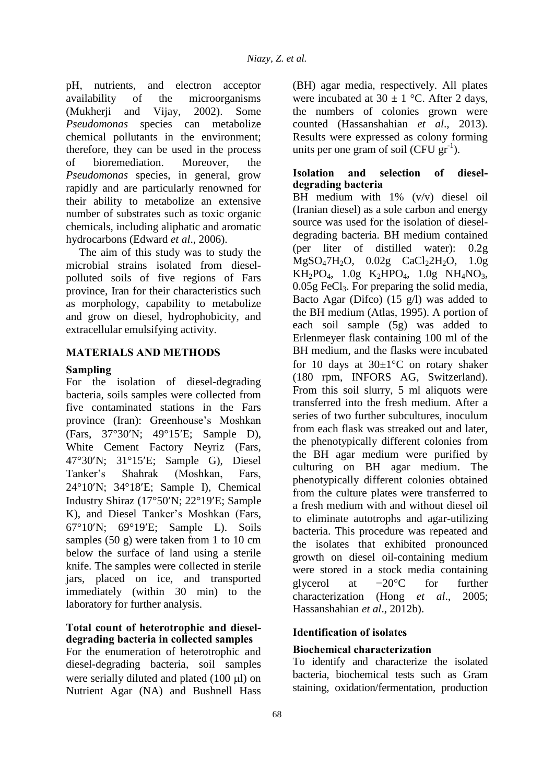pH, nutrients, and electron acceptor availability of the microorganisms (Mukherji and Vijay, 2002). Some *Pseudomonas* species can metabolize chemical pollutants in the environment; therefore, they can be used in the process of bioremediation. Moreover, the *Pseudomonas* species, in general, grow rapidly and are particularly renowned for their ability to metabolize an extensive number of substrates such as toxic organic chemicals, including aliphatic and aromatic hydrocarbons (Edward *et al*., 2006).

The aim of this study was to study the microbial strains isolated from dieselpolluted soils of five regions of Fars province, Iran for their characteristics such as morphology, capability to metabolize and grow on diesel, hydrophobicity, and extracellular emulsifying activity.

## **MATERIALS AND METHODS**

## **Sampling**

For the isolation of diesel-degrading bacteria, soils samples were collected from five contaminated stations in the Fars province (Iran): Greenhouse's Moshkan (Fars, 37°30'N; 49°15'E; Sample D), White Cement Factory Neyriz (Fars, 47°30N; 31°15E; Sample G), Diesel Tanker's Shahrak (Moshkan, Fars, 24°10N; 34°18E; Sample I), Chemical Industry Shiraz (17°50'N; 22°19'E; Sample K), and Diesel Tanker's Moshkan (Fars, 67°10N; 69°19E; Sample L). Soils samples (50 g) were taken from 1 to 10 cm below the surface of land using a sterile knife. The samples were collected in sterile jars, placed on ice, and transported immediately (within 30 min) to the laboratory for further analysis.

## **Total count of heterotrophic and dieseldegrading bacteria in collected samples**

For the enumeration of heterotrophic and diesel-degrading bacteria, soil samples were serially diluted and plated  $(100 \mu l)$  on Nutrient Agar (NA) and Bushnell Hass

(BH) agar media, respectively. All plates were incubated at  $30 \pm 1$  °C. After 2 days, the numbers of colonies grown were counted (Hassanshahian *et al*., 2013). Results were expressed as colony forming units per one gram of soil (CFU  $\text{gr}^{-1}$ ).

## **Isolation and selection of dieseldegrading bacteria**

BH medium with 1% (v/v) diesel oil (Iranian diesel) as a sole carbon and energy source was used for the isolation of dieseldegrading bacteria. BH medium contained (per liter of distilled water): 0.2g  $MgSO<sub>4</sub>7H<sub>2</sub>O$ ,  $0.02g$  CaCl<sub>2</sub>2H<sub>2</sub>O,  $1.0g$  $KH_2PO_4$ ,  $1.0g$   $K_2HPO_4$ ,  $1.0g$   $NH_4NO_3$ ,  $0.05g$  FeCl<sub>3</sub>. For preparing the solid media, Bacto Agar (Difco)  $(15 \text{ g/l})$  was added to the BH medium (Atlas, 1995). A portion of each soil sample (5g) was added to Erlenmeyer flask containing 100 ml of the BH medium, and the flasks were incubated for 10 days at  $30\pm1\degree C$  on rotary shaker (180 rpm, INFORS AG, Switzerland). From this soil slurry, 5 ml aliquots were transferred into the fresh medium. After a series of two further subcultures, inoculum from each flask was streaked out and later, the phenotypically different colonies from the BH agar medium were purified by culturing on BH agar medium. The phenotypically different colonies obtained from the culture plates were transferred to a fresh medium with and without diesel oil to eliminate autotrophs and agar-utilizing bacteria. This procedure was repeated and the isolates that exhibited pronounced growth on diesel oil-containing medium were stored in a stock media containing glycerol at  $-20$ °C for further characterization (Hong *et al*., 2005; Hassanshahian *et al*., 2012b).

## **Identification of isolates**

## **Biochemical characterization**

To identify and characterize the isolated bacteria, biochemical tests such as Gram staining, oxidation/fermentation, production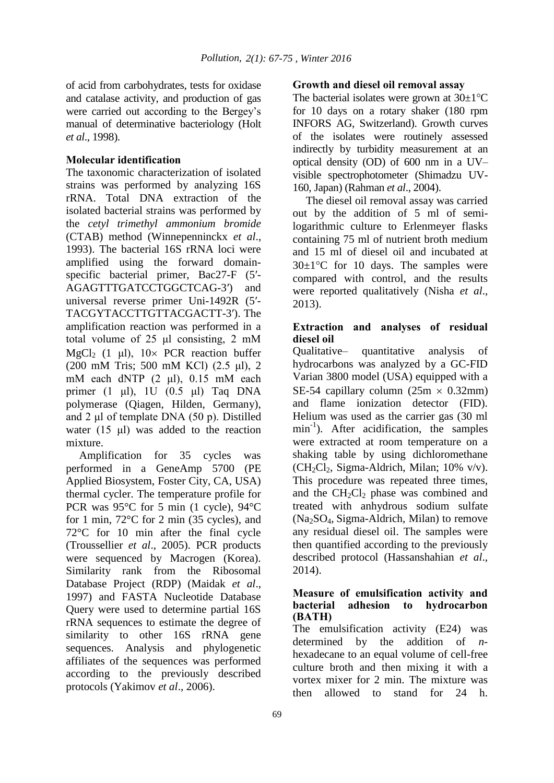of acid from carbohydrates, tests for oxidase and catalase activity, and production of gas were carried out according to the Bergey's manual of determinative bacteriology (Holt *et al*., 1998).

### **Molecular identification**

The taxonomic characterization of isolated strains was performed by analyzing 16S rRNA. Total DNA extraction of the isolated bacterial strains was performed by the *cetyl trimethyl ammonium bromide* (CTAB) method (Winnepenninckx *et al*., 1993). The bacterial 16S rRNA loci were amplified using the forward domainspecific bacterial primer, Bac27-F (5′- AGAGTTTGATCCTGGCTCAG-3′) and universal reverse primer Uni-1492R (5′- TACGYTACCTTGTTACGACTT-3′). The amplification reaction was performed in a total volume of 25 μl consisting, 2 mM MgCl<sub>2</sub> (1 μl),  $10 \times PCR$  reaction buffer (200 mM Tris; 500 mM KCl) (2.5 μl), 2 mM each dNTP (2 μl), 0.15 mM each primer (1 μl), 1U (0.5 μl) Taq DNA polymerase (Qiagen, Hilden, Germany), and 2 μl of template DNA (50 p). Distilled water (15 μl) was added to the reaction mixture.

Amplification for 35 cycles was performed in a GeneAmp 5700 (PE Applied Biosystem, Foster City, CA, USA) thermal cycler. The temperature profile for PCR was 95°C for 5 min (1 cycle), 94°C for 1 min, 72°C for 2 min (35 cycles), and 72°C for 10 min after the final cycle (Troussellier *et al*., 2005). PCR products were sequenced by Macrogen (Korea). Similarity rank from the Ribosomal Database Project (RDP) (Maidak *et al*., 1997) and FASTA Nucleotide Database Query were used to determine partial 16S rRNA sequences to estimate the degree of similarity to other 16S rRNA gene sequences. Analysis and phylogenetic affiliates of the sequences was performed according to the previously described protocols (Yakimov *et al*., 2006).

### **Growth and diesel oil removal assay**

The bacterial isolates were grown at  $30\pm1\textdegree C$ for 10 days on a rotary shaker (180 rpm INFORS AG, Switzerland). Growth curves of the isolates were routinely assessed indirectly by turbidity measurement at an optical density (OD) of 600 nm in a UV– visible spectrophotometer (Shimadzu UV-160, Japan) (Rahman *et al*., 2004).

The diesel oil removal assay was carried out by the addition of 5 ml of semilogarithmic culture to Erlenmeyer flasks containing 75 ml of nutrient broth medium and 15 ml of diesel oil and incubated at  $30 \pm 1$ <sup>o</sup>C for 10 days. The samples were compared with control, and the results were reported qualitatively (Nisha *et al*., 2013).

## **Extraction and analyses of residual diesel oil**

Qualitative– quantitative analysis of hydrocarbons was analyzed by a GC-FID Varian 3800 model (USA) equipped with a SE-54 capillary column  $(25m \times 0.32mm)$ and flame ionization detector (FID). Helium was used as the carrier gas (30 ml  $min^{-1}$ ). After acidification, the samples were extracted at room temperature on a shaking table by using dichloromethane  $(CH_2Cl_2, Sigma-Aldrich, Milan; 10\%$  v/v). This procedure was repeated three times, and the  $CH<sub>2</sub>Cl<sub>2</sub>$  phase was combined and treated with anhydrous sodium sulfate (Na2SO4, Sigma-Aldrich, Milan) to remove any residual diesel oil. The samples were then quantified according to the previously described protocol (Hassanshahian *et al*., 2014).

#### **Measure of emulsification activity and bacterial adhesion to hydrocarbon (BATH)**

The emulsification activity (E24) was determined by the addition of *n*hexadecane to an equal volume of cell-free culture broth and then mixing it with a vortex mixer for 2 min. The mixture was then allowed to stand for 24 h.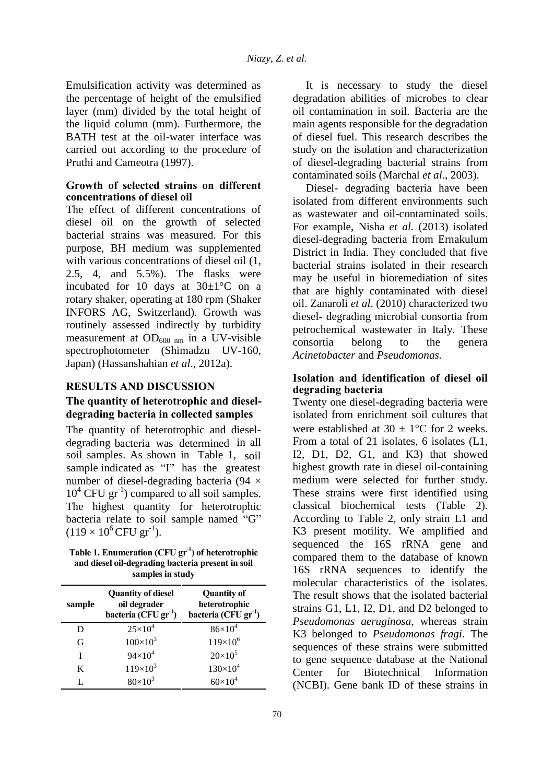Emulsification activity was determined as the percentage of height of the emulsified layer (mm) divided by the total height of the liquid column (mm). Furthermore, the BATH test at the oil-water interface was carried out according to the procedure of Pruthi and Cameotra (1997).

#### **Growth of selected strains on different concentrations of diesel oil**

The effect of different concentrations of diesel oil on the growth of selected bacterial strains was measured. For this purpose, BH medium was supplemented with various concentrations of diesel oil  $(1, 1)$ 2.5, 4, and 5.5%). The flasks were incubated for 10 days at 30±1°C on a rotary shaker, operating at 180 rpm (Shaker INFORS AG, Switzerland). Growth was routinely assessed indirectly by turbidity measurement at  $OD_{600 \text{ nm}}$  in a UV-visible spectrophotometer (Shimadzu UV-160, Japan) (Hassanshahian *et al*., 2012a).

### **RESULTS AND DISCUSSION**

## **The quantity of heterotrophic and dieseldegrading bacteria in collected samples**

The quantity of heterotrophic and dieseldegrading bacteria was determined in all soil samples. As shown in Table 1, soil sample indicated as "I" has the greatest number of diesel-degrading bacteria (94 × 10<sup>4</sup> CFU gr<sup>-1</sup>) compared to all soil samples. The highest quantity for heterotrophic bacteria relate to soil sample named "G"  $(119 \times 10^6 \text{CFU gr}^{-1}).$ 

**Table 1. Enumeration (CFU gr-1) of heterotrophic and diesel oil-degrading bacteria present in soil samples in study** 

| sample | <b>Quantity of diesel</b><br>oil degrader<br>bacteria (CFU gr <sup>-1</sup> ) | <b>Quantity of</b><br>heterotrophic<br>bacteria (CFU gr <sup>-1</sup> ) |
|--------|-------------------------------------------------------------------------------|-------------------------------------------------------------------------|
| D      | $25 \times 10^{4}$                                                            | $86\times10^{4}$                                                        |
| G      | $100 \times 10^{3}$                                                           | $119\times10^{6}$                                                       |
| I      | $94\times10^{4}$                                                              | $20 \times 10^5$                                                        |
| K      | $119\times10^{3}$                                                             | $130\times10^{4}$                                                       |
| L      | $80\times10^{3}$                                                              | $60\times10^{4}$                                                        |

It is necessary to study the diesel degradation abilities of microbes to clear oil contamination in soil. Bacteria are the main agents responsible for the degradation of diesel fuel. This research describes the study on the isolation and characterization of diesel-degrading bacterial strains from contaminated soils (Marchal *et al*., 2003).

Diesel- degrading bacteria have been isolated from different environments such as wastewater and oil-contaminated soils. For example, Nisha *et al.* (2013) isolated diesel-degrading bacteria from Ernakulum District in India. They concluded that five bacterial strains isolated in their research may be useful in bioremediation of sites that are highly contaminated with diesel oil. Zanaroli *et al*. (2010) characterized two diesel- degrading microbial consortia from petrochemical wastewater in Italy. These consortia belong to the genera *Acinetobacter* and *Pseudomonas.*

### **Isolation and identification of diesel oil degrading bacteria**

Twenty one diesel-degrading bacteria were isolated from enrichment soil cultures that were established at  $30 \pm 1$ °C for 2 weeks. From a total of 21 isolates, 6 isolates (L1, I2, D1, D2, G1, and K3) that showed highest growth rate in diesel oil-containing medium were selected for further study. These strains were first identified using classical biochemical tests (Table 2). According to Table 2, only strain L1 and K3 present motility. We amplified and sequenced the 16S rRNA gene and compared them to the database of known 16S rRNA sequences to identify the molecular characteristics of the isolates. The result shows that the isolated bacterial strains G1, L1, I2, D1, and D2 belonged to *Pseudomonas aeruginosa*, whereas strain K3 belonged to *Pseudomonas fragi*. The sequences of these strains were submitted to gene sequence database at the National Center for Biotechnical Information (NCBI). Gene bank ID of these strains in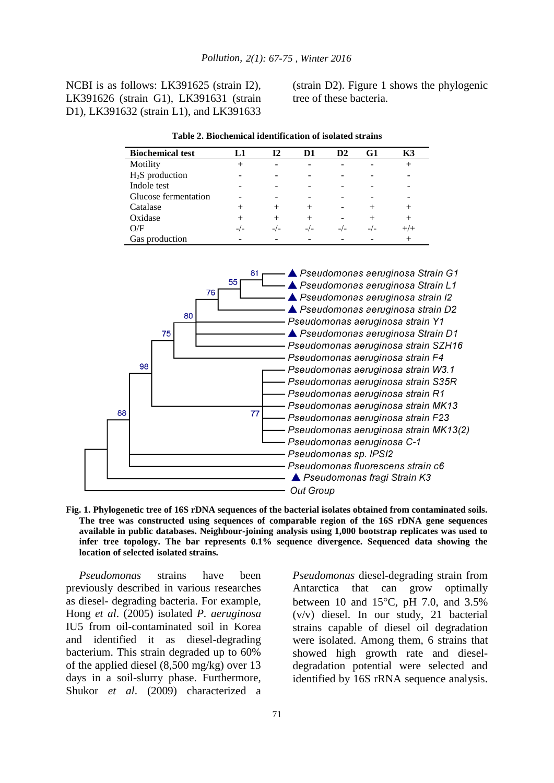NCBI is as follows: LK391625 (strain I2), LK391626 (strain G1), LK391631 (strain D1), LK391632 (strain L1), and LK391633

(strain D2). Figure 1 shows the phylogenic tree of these bacteria.

| <b>Biochemical test</b> |     | 12  | D1    | D <sub>2</sub> | G1 | К3     |
|-------------------------|-----|-----|-------|----------------|----|--------|
| Motility                | +   |     |       |                |    |        |
| $H2S$ production        |     |     |       |                |    |        |
| Indole test             |     |     |       |                |    |        |
| Glucose fermentation    |     |     |       |                |    |        |
| Catalase                |     |     |       |                |    |        |
| Oxidase                 |     |     |       |                |    | $^{+}$ |
| O/F                     | -/- | -/- | $-/-$ | $-/-$          |    |        |
| Gas production          |     |     |       |                |    |        |

**Table 2. Biochemical identification of isolated strains** 



**Fig. 1. Phylogenetic tree of 16S rDNA sequences of the bacterial isolates obtained from contaminated soils. The tree was constructed using sequences of comparable region of the 16S rDNA gene sequences available in public databases. Neighbour-joining analysis using 1,000 bootstrap replicates was used to infer tree topology. The bar represents 0.1% sequence divergence. Sequenced data showing the location of selected isolated strains.** 

*Pseudomonas* strains have been previously described in various researches as diesel- degrading bacteria. For example, Hong *et al*. (2005) isolated *P. aeruginosa*  IU5 from oil-contaminated soil in Korea and identified it as diesel-degrading bacterium. This strain degraded up to 60% of the applied diesel (8,500 mg/kg) over 13 days in a soil-slurry phase. Furthermore, Shukor *et al*. (2009) characterized a *Pseudomonas* diesel-degrading strain from Antarctica that can grow optimally between 10 and 15 $\degree$ C, pH 7.0, and 3.5% (v/v) diesel. In our study, 21 bacterial strains capable of diesel oil degradation were isolated. Among them, 6 strains that showed high growth rate and dieseldegradation potential were selected and identified by 16S rRNA sequence analysis.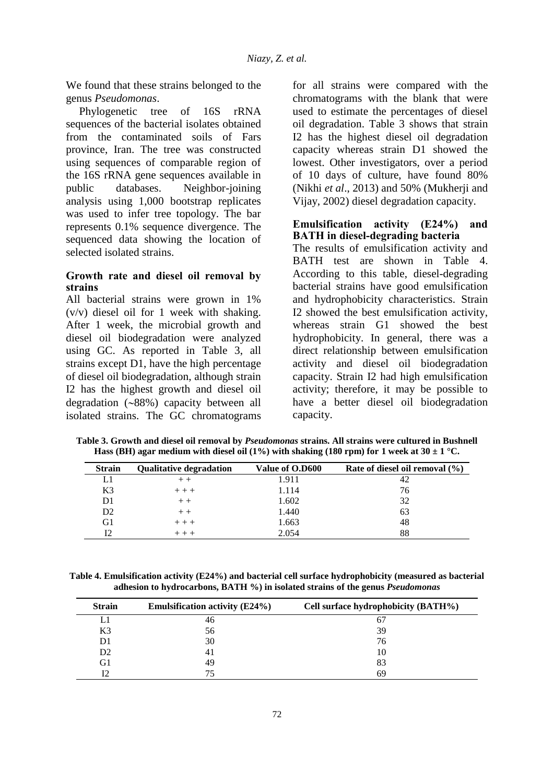We found that these strains belonged to the genus *Pseudomonas*.

Phylogenetic tree of 16S rRNA sequences of the bacterial isolates obtained from the contaminated soils of Fars province, Iran. The tree was constructed using sequences of comparable region of the 16S rRNA gene sequences available in public databases. Neighbor-joining analysis using 1,000 bootstrap replicates was used to infer tree topology. The bar represents 0.1% sequence divergence. The sequenced data showing the location of selected isolated strains.

### **Growth rate and diesel oil removal by strains**

All bacterial strains were grown in 1% (v/v) diesel oil for 1 week with shaking. After 1 week, the microbial growth and diesel oil biodegradation were analyzed using GC. As reported in Table 3, all strains except D1, have the high percentage of diesel oil biodegradation, although strain I2 has the highest growth and diesel oil degradation  $(-88%)$  capacity between all isolated strains. The GC chromatograms

for all strains were compared with the chromatograms with the blank that were used to estimate the percentages of diesel oil degradation. Table 3 shows that strain I2 has the highest diesel oil degradation capacity whereas strain D1 showed the lowest. Other investigators, over a period of 10 days of culture, have found 80% (Nikhi *et al*., 2013) and 50% (Mukherji and Vijay, 2002) diesel degradation capacity.

### **Emulsification activity (E24%) and BATH in diesel-degrading bacteria**

The results of emulsification activity and BATH test are shown in Table 4. According to this table, diesel-degrading bacterial strains have good emulsification and hydrophobicity characteristics. Strain I2 showed the best emulsification activity, whereas strain G1 showed the best hydrophobicity. In general, there was a direct relationship between emulsification activity and diesel oil biodegradation capacity. Strain I2 had high emulsification activity; therefore, it may be possible to have a better diesel oil biodegradation capacity.

| <b>Strain</b>  | <b>Qualitative degradation</b> | Value of O.D600 | Rate of diesel oil removal $(\% )$ |
|----------------|--------------------------------|-----------------|------------------------------------|
| Ll             |                                | 1.911           | 42                                 |
| K3             | $++ +$                         | 1.114           | 76                                 |
| D1             | $+ +$                          | 1.602           | 32                                 |
| D <sub>2</sub> | $++$                           | 1.440           | 63                                 |
| G1             | $++ +$                         | 1.663           | 48                                 |
| 12             |                                | 2.054           | 88                                 |

**Table 3. Growth and diesel oil removal by** *Pseudomonas* **strains. All strains were cultured in Bushnell Hass (BH) agar medium with diesel oil (1%) with shaking (180 rpm) for 1 week at 30**  $\pm$  **1 °C.** 

**Table 4. Emulsification activity (E24%) and bacterial cell surface hydrophobicity (measured as bacterial adhesion to hydrocarbons, BATH %) in isolated strains of the genus** *Pseudomonas*

| <b>Strain</b>  | <b>Emulsification activity (E24%)</b> | Cell surface hydrophobicity (BATH%) |
|----------------|---------------------------------------|-------------------------------------|
|                | 46                                    | 6.                                  |
| K <sub>3</sub> | 56                                    | 39                                  |
| D1             | 30                                    | 76                                  |
| D <sub>2</sub> |                                       |                                     |
| G1             | 49                                    | 83                                  |
|                |                                       | 69                                  |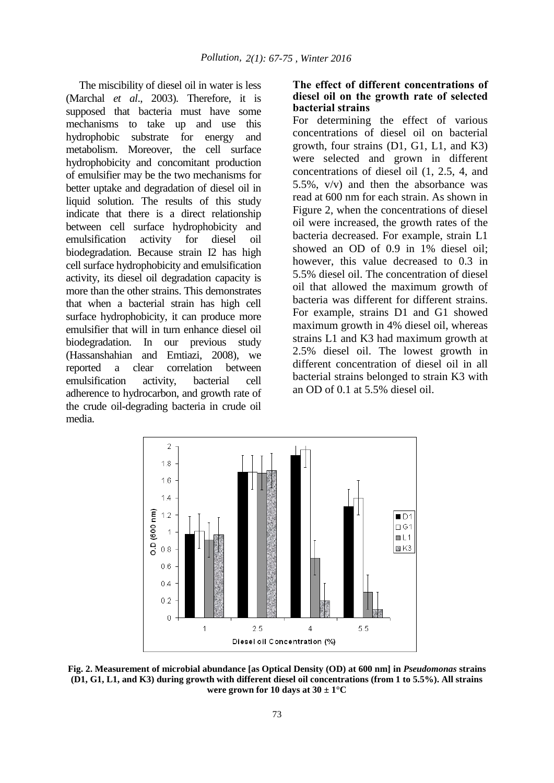The miscibility of diesel oil in water is less (Marchal *et al*., 2003). Therefore, it is supposed that bacteria must have some mechanisms to take up and use this hydrophobic substrate for energy and metabolism. Moreover, the cell surface hydrophobicity and concomitant production of emulsifier may be the two mechanisms for better uptake and degradation of diesel oil in liquid solution. The results of this study indicate that there is a direct relationship between cell surface hydrophobicity and emulsification activity for diesel oil biodegradation. Because strain I2 has high cell surface hydrophobicity and emulsification activity, its diesel oil degradation capacity is more than the other strains. This demonstrates that when a bacterial strain has high cell surface hydrophobicity, it can produce more emulsifier that will in turn enhance diesel oil biodegradation. In our previous study (Hassanshahian and Emtiazi, 2008), we reported a clear correlation between emulsification activity, bacterial cell adherence to hydrocarbon, and growth rate of the crude oil-degrading bacteria in crude oil media.

#### **The effect of different concentrations of diesel oil on the growth rate of selected bacterial strains**

For determining the effect of various concentrations of diesel oil on bacterial growth, four strains (D1, G1, L1, and K3) were selected and grown in different concentrations of diesel oil (1, 2.5, 4, and 5.5%, v/v) and then the absorbance was read at 600 nm for each strain. As shown in Figure 2, when the concentrations of diesel oil were increased, the growth rates of the bacteria decreased. For example, strain L1 showed an OD of 0.9 in 1% diesel oil; however, this value decreased to 0.3 in 5.5% diesel oil. The concentration of diesel oil that allowed the maximum growth of bacteria was different for different strains. For example, strains D1 and G1 showed maximum growth in 4% diesel oil, whereas strains L1 and K3 had maximum growth at 2.5% diesel oil. The lowest growth in different concentration of diesel oil in all bacterial strains belonged to strain K3 with an OD of 0.1 at 5.5% diesel oil.



**Fig. 2. Measurement of microbial abundance [as Optical Density (OD) at 600 nm] in** *Pseudomonas* **strains (D1, G1, L1, and K3) during growth with different diesel oil concentrations (from 1 to 5.5%). All strains were grown for 10 days at**  $30 \pm 1$ **°C**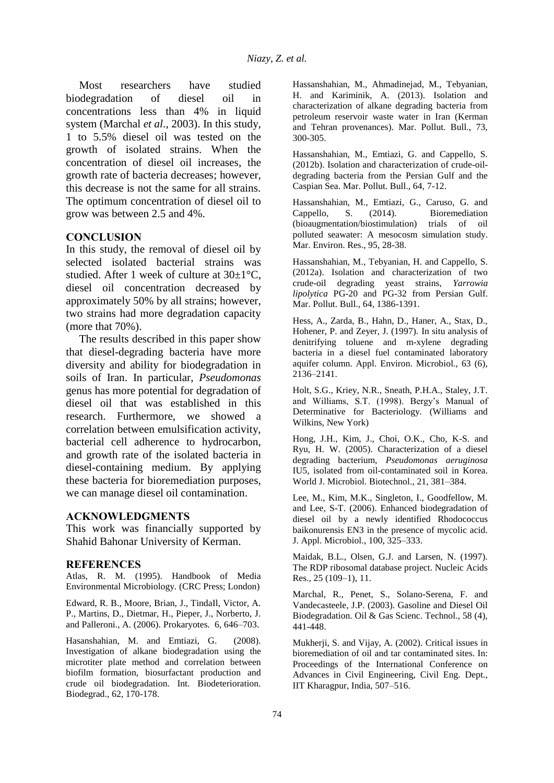Most researchers have studied biodegradation of diesel oil in concentrations less than 4% in liquid system (Marchal *et al*., 2003). In this study, 1 to 5.5% diesel oil was tested on the growth of isolated strains. When the concentration of diesel oil increases, the growth rate of bacteria decreases; however, this decrease is not the same for all strains. The optimum concentration of diesel oil to grow was between 2.5 and 4%.

### **CONCLUSION**

In this study, the removal of diesel oil by selected isolated bacterial strains was studied. After 1 week of culture at  $30\pm1^{\circ}$ C. diesel oil concentration decreased by approximately 50% by all strains; however, two strains had more degradation capacity (more that 70%).

The results described in this paper show that diesel-degrading bacteria have more diversity and ability for biodegradation in soils of Iran. In particular, *Pseudomonas*  genus has more potential for degradation of diesel oil that was established in this research. Furthermore, we showed a correlation between emulsification activity, bacterial cell adherence to hydrocarbon, and growth rate of the isolated bacteria in diesel-containing medium. By applying these bacteria for bioremediation purposes, we can manage diesel oil contamination.

#### **ACKNOWLEDGMENTS**

This work was financially supported by Shahid Bahonar University of Kerman.

#### **REFERENCES**

Atlas, R. M. (1995). Handbook of Media Environmental Microbiology. (CRC Press; London)

Edward, R. B., Moore, Brian, J., TindaIl, Victor, A. P., Martins, D., Dietmar, H., Pieper, J., Norberto, J. and Palleroni., A. (2006). Prokaryotes. 6, 646–703.

Hasanshahian, M. and Emtiazi, G. (2008). Investigation of alkane biodegradation using the microtiter plate method and correlation between biofilm formation, biosurfactant production and crude oil biodegradation. Int. Biodeterioration. Biodegrad., 62, 170-178.

Hassanshahian, M., Ahmadinejad, M., Tebyanian, H. and Kariminik, A. (2013). Isolation and characterization of alkane degrading bacteria from petroleum reservoir waste water in Iran (Kerman and Tehran provenances). Mar. Pollut. Bull., 73, 300-305.

Hassanshahian, M., Emtiazi, G. and Cappello, S. (2012b). Isolation and characterization of crude-oildegrading bacteria from the Persian Gulf and the Caspian Sea. Mar. Pollut. Bull., 64, 7-12.

Hassanshahian, M., Emtiazi, G., Caruso, G. and Cappello, S. (2014). Bioremediation (bioaugmentation/biostimulation) trials of oil polluted seawater: A mesocosm simulation study. Mar. Environ. Res., 95, 28-38.

Hassanshahian, M., Tebyanian, H. and Cappello, S. (2012a). Isolation and characterization of two crude-oil degrading yeast strains, *Yarrowia lipolytica* PG-20 and PG-32 from Persian Gulf. Mar. Pollut. Bull., 64, 1386-1391.

Hess, A., Zarda, B., Hahn, D., Haner, A., Stax, D., Hohener, P. and Zeyer, J. (1997). In situ analysis of denitrifying toluene and m-xylene degrading bacteria in a diesel fuel contaminated laboratory aquifer column. Appl. Environ. Microbiol., 63 (6), 2136–2141.

Holt, S.G., Kriey, N.R., Sneath, P.H.A., Staley, J.T. and Williams, S.T. (1998). Bergy's Manual of Determinative for Bacteriology. (Williams and Wilkins, New York)

Hong, J.H., Kim, J., Choi, O.K., Cho, K-S. and Ryu, H. W. (2005). Characterization of a diesel degrading bacterium, *Pseudomonas aeruginosa* IU5, isolated from oil-contaminated soil in Korea. World J. Microbiol. Biotechnol., 21, 381–384.

Lee, M., Kim, M.K., Singleton, I., Goodfellow, M. and Lee, S-T. (2006). Enhanced biodegradation of diesel oil by a newly identified Rhodococcus baikonurensis EN3 in the presence of mycolic acid. J. Appl. Microbiol., 100, 325–333.

Maidak, B.L., Olsen, G.J. and Larsen, N. (1997). The RDP ribosomal database project. Nucleic Acids Res., 25 (109–1), 11.

Marchal, R., Penet, S., Solano-Serena, F. and Vandecasteele, J.P. (2003). Gasoline and Diesel Oil Biodegradation. Oil & Gas Scienc. Technol., 58 (4), 441-448.

Mukherji, S. and Vijay, A. (2002). Critical issues in bioremediation of oil and tar contaminated sites. In: Proceedings of the International Conference on Advances in Civil Engineering, Civil Eng. Dept., IIT Kharagpur, India, 507–516.